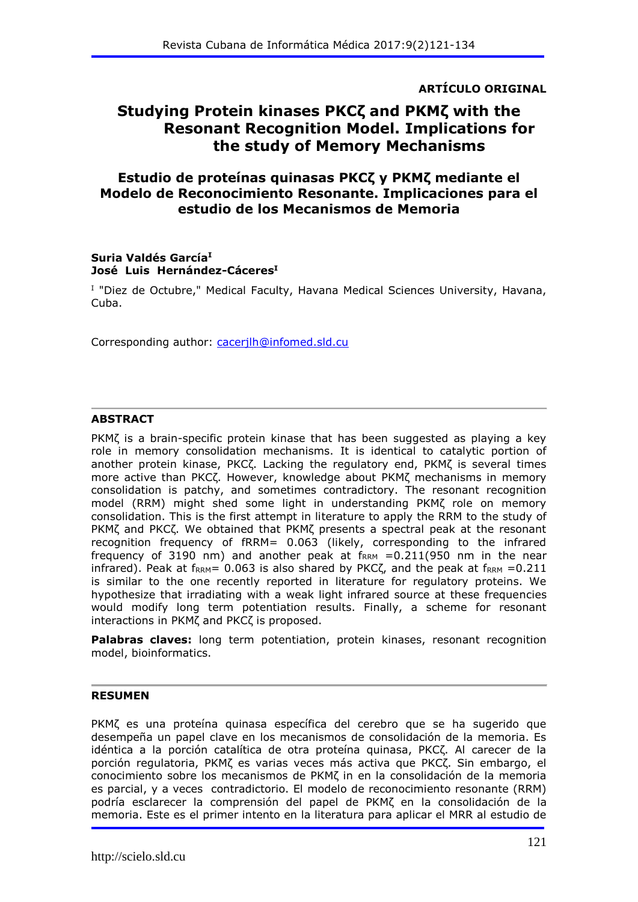**ARTÍCULO ORIGINAL**

## **Studying Protein kinases PKCζ and PKMζ with the Resonant Recognition Model. Implications for the study of Memory Mechanisms**

### **Estudio de proteínas quinasas PKCζ y PKMζ mediante el Modelo de Reconocimiento Resonante. Implicaciones para el estudio de los Mecanismos de Memoria**

#### **Suria Valdés García<sup>I</sup> José Luis Hernández-Cáceres<sup>I</sup>**

<sup>I</sup> "Diez de Octubre," Medical Faculty, Havana Medical Sciences University, Havana, Cuba.

Corresponding author: [cacerjlh@infomed.sld.cu](mailto:cacerjlh@infomed.sld.cu)

#### **ABSTRACT**

PKMζ is a brain-specific protein kinase that has been suggested as playing a key role in memory consolidation mechanisms. It is identical to catalytic portion of another protein kinase, PKCζ. Lacking the regulatory end, PKMζ is several times more active than PKCζ. However, knowledge about PKMζ mechanisms in memory consolidation is patchy, and sometimes contradictory. The resonant recognition model (RRM) might shed some light in understanding PKMζ role on memory consolidation. This is the first attempt in literature to apply the RRM to the study of PKMζ and PKCζ. We obtained that PKMζ presents a spectral peak at the resonant recognition frequency of fRRM= 0.063 (likely, corresponding to the infrared frequency of 3190 nm) and another peak at  $f_{RRM} = 0.211(950 \text{ nm}$  in the near infrared). Peak at  $f_{RRM}$ = 0.063 is also shared by PKC $\zeta$ , and the peak at  $f_{RRM}$  =0.211 is similar to the one recently reported in literature for regulatory proteins. We hypothesize that irradiating with a weak light infrared source at these frequencies would modify long term potentiation results. Finally, a scheme for resonant interactions in PKMζ and PKCζ is proposed.

**Palabras claves:** long term potentiation, protein kinases, resonant recognition model, bioinformatics.

#### **RESUMEN**

PKMζ es una proteína quinasa específica del cerebro que se ha sugerido que desempeña un papel clave en los mecanismos de consolidación de la memoria. Es idéntica a la porción catalítica de otra proteína quinasa, PKCζ. Al carecer de la porción regulatoria, PKMζ es varias veces más activa que PKCζ. Sin embargo, el conocimiento sobre los mecanismos de PKMζ in en la consolidación de la memoria es parcial, y a veces contradictorio. El modelo de reconocimiento resonante (RRM) podría esclarecer la comprensión del papel de PKMζ en la consolidación de la memoria. Este es el primer intento en la literatura para aplicar el MRR al estudio de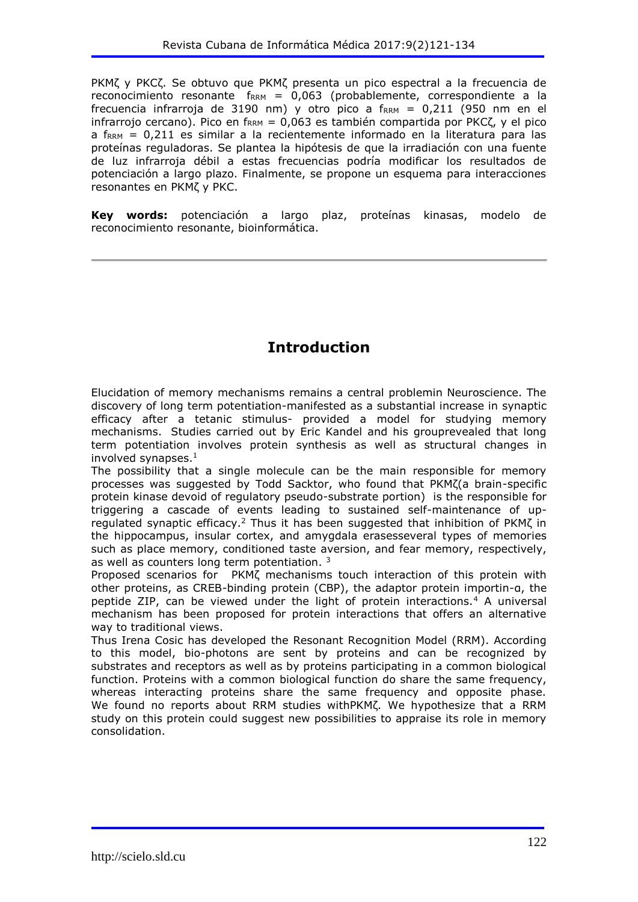PKMζ y PKCζ. Se obtuvo que PKMζ presenta un pico espectral a la frecuencia de reconocimiento resonante  $f_{RRM} = 0.063$  (probablemente, correspondiente a la frecuencia infrarroja de 3190 nm) y otro pico a  $f_{RRM} = 0,211$  (950 nm en el infrarrojo cercano). Pico en f<sub>RRM</sub> = 0,063 es también compartida por PKC $\zeta$ , y el pico  $a$  f<sub>RRM</sub> = 0,211 es similar a la recientemente informado en la literatura para las proteínas reguladoras. Se plantea la hipótesis de que la irradiación con una fuente de luz infrarroja débil a estas frecuencias podría modificar los resultados de potenciación a largo plazo. Finalmente, se propone un esquema para interacciones resonantes en PKMζ y PKC.

**Key words:** potenciación a largo plaz, proteínas kinasas, modelo de reconocimiento resonante, bioinformática.

# **Introduction**

Elucidation of memory mechanisms remains a central problemin Neuroscience. The discovery of long term potentiation-manifested as a substantial increase in synaptic efficacy after a tetanic stimulus- provided a model for studying memory mechanisms. Studies carried out by Eric Kandel and his grouprevealed that long term potentiation involves protein synthesis as well as structural changes in involved synapses. $<sup>1</sup>$ </sup>

The possibility that a single molecule can be the main responsible for memory processes was suggested by Todd Sacktor, who found that PKMζ(a brain-specific protein kinase devoid of regulatory pseudo-substrate portion) is the responsible for triggering a cascade of events leading to sustained self-maintenance of upregulated synaptic efficacy.<sup>2</sup> Thus it has been suggested that inhibition of PKMζ in the hippocampus, insular cortex, and amygdala erasesseveral types of memories such as place memory, conditioned taste aversion, and fear memory, respectively, as well as counters long term potentiation.<sup>3</sup>

Proposed scenarios for PKMζ mechanisms touch interaction of this protein with other proteins, as CREB-binding protein (CBP), the adaptor protein importin-α, the peptide ZIP, can be viewed under the light of protein interactions.<sup>4</sup> A universal mechanism has been proposed for protein interactions that offers an alternative way to traditional views.

Thus Irena Cosic has developed the Resonant Recognition Model (RRM). According to this model, bio-photons are sent by proteins and can be recognized by substrates and receptors as well as by proteins participating in a common biological function. Proteins with a common biological function do share the same frequency, whereas interacting proteins share the same frequency and opposite phase. We found no reports about RRM studies withPKMζ. We hypothesize that a RRM study on this protein could suggest new possibilities to appraise its role in memory consolidation.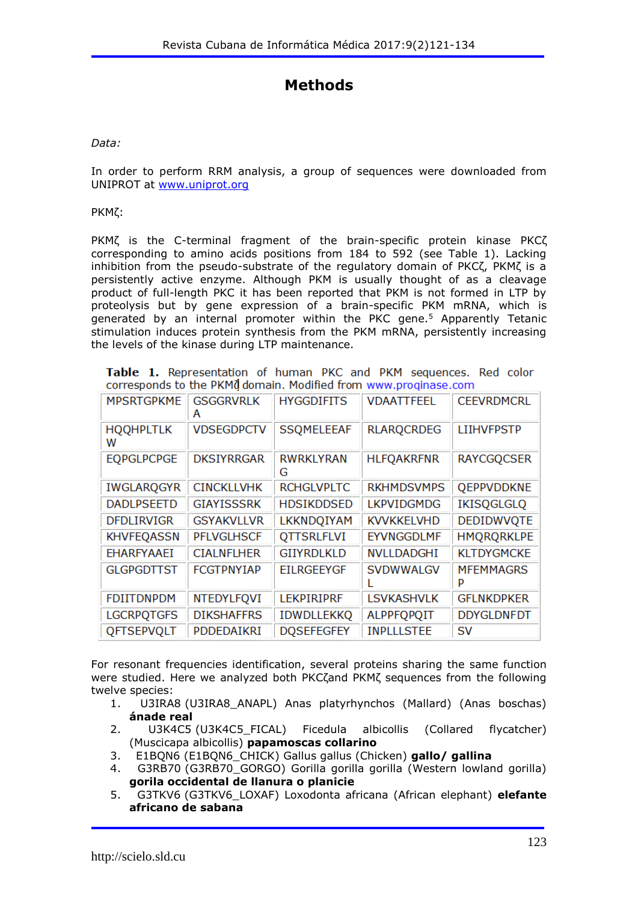# **Methods**

*Data:*

In order to perform RRM analysis, a group of sequences were downloaded from UNIPROT at [www.uniprot.org](http://www.uniprot.org/)

PKMζ:

PKMζ is the C-terminal fragment of the brain-specific protein kinase PKCζ corresponding to amino acids positions from 184 to 592 (see Table 1). Lacking inhibition from the pseudo-substrate of the regulatory domain of PKCζ, PKMζ is a persistently active enzyme. Although PKM is usually thought of as a cleavage product of full-length PKC it has been reported that PKM is not formed in LTP by proteolysis but by gene expression of a brain-specific PKM mRNA, which is generated by an internal promoter within the PKC gene.<sup>5</sup> Apparently Tetanic stimulation induces protein synthesis from the PKM mRNA, persistently increasing the levels of the kinase during LTP maintenance.

Table 1. Representation of human PKC and PKM sequences. Red color corresponds to the PKM0 domain. Modified from www.proginase.com

| <b>MPSRTGPKME</b>     | <b>GSGGRVRLK</b><br>А | <b>HYGGDIFITS</b> | <b>VDAATTFEEL</b> | <b>CEEVRDMCRL</b>     |
|-----------------------|-----------------------|-------------------|-------------------|-----------------------|
| <b>HOOHPLTLK</b><br>w | <b>VDSEGDPCTV</b>     | <b>SSOMELEEAF</b> | <b>RLARQCRDEG</b> | <b>LIIHVFPSTP</b>     |
| <b>EQPGLPCPGE</b>     | <b>DKSIYRRGAR</b>     | RWRKLYRAN<br>G    | <b>HLFQAKRFNR</b> | <b>RAYCGQCSER</b>     |
| <b>IWGLARQGYR</b>     | <b>CINCKLLVHK</b>     | <b>RCHGLVPLTC</b> | <b>RKHMDSVMPS</b> | <b>QEPPVDDKNE</b>     |
| <b>DADLPSEETD</b>     | <b>GIAYISSSRK</b>     | <b>HDSIKDDSED</b> | <b>LKPVIDGMDG</b> | <b>IKISQGLGLQ</b>     |
| <b>DFDLIRVIGR</b>     | <b>GSYAKVLLVR</b>     | LKKNDQIYAM        | <b>KVVKKELVHD</b> | <b>DEDIDWVOTE</b>     |
| <b>KHVFEQASSN</b>     | <b>PFLVGLHSCF</b>     | <b>QTTSRLFLVI</b> | EYVNGGDLMF        | <b>HMQRQRKLPE</b>     |
| <b>EHARFYAAEI</b>     | <b>CIALNFLHER</b>     | <b>GIIYRDLKLD</b> | <b>NVLLDADGHI</b> | <b>KLTDYGMCKE</b>     |
| <b>GLGPGDTTST</b>     | <b>FCGTPNYIAP</b>     | <b>FILRGFFYGF</b> | <b>SVDWWALGV</b>  | <b>MFEMMAGRS</b><br>P |
| <b>FDIITDNPDM</b>     | NTEDYLFQVI            | <b>LEKPIRIPRF</b> | <b>LSVKASHVLK</b> | <b>GFLNKDPKER</b>     |
| <b>LGCRPQTGFS</b>     | <b>DIKSHAFFRS</b>     | <b>IDWDLLEKKQ</b> | <b>ALPPFQPQIT</b> | <b>DDYGLDNFDT</b>     |
| <b>QFTSEPVQLT</b>     | PDDEDAIKRI            | <b>DOSEFEGFEY</b> | <b>INPLLLSTEE</b> | SV                    |

For resonant frequencies identification, several proteins sharing the same function were studied. Here we analyzed both PKCζand PKMζ sequences from the following twelve species:

- 1. U3IRA8 (U3IRA8\_ANAPL) Anas platyrhynchos (Mallard) (Anas boschas) **ánade real**
- 2. U3K4C5 (U3K4C5 FICAL) Ficedula albicollis (Collared flycatcher) (Muscicapa albicollis) **papamoscas collarino**
- 3. E1BQN6 (E1BQN6\_CHICK) Gallus gallus (Chicken) **gallo/ gallina**
- 4. G3RB70 (G3RB70\_GORGO) Gorilla gorilla gorilla (Western lowland gorilla) **gorila occidental de llanura o planicie**
- 5. G3TKV6 (G3TKV6\_LOXAF) Loxodonta africana (African elephant) **elefante africano de sabana**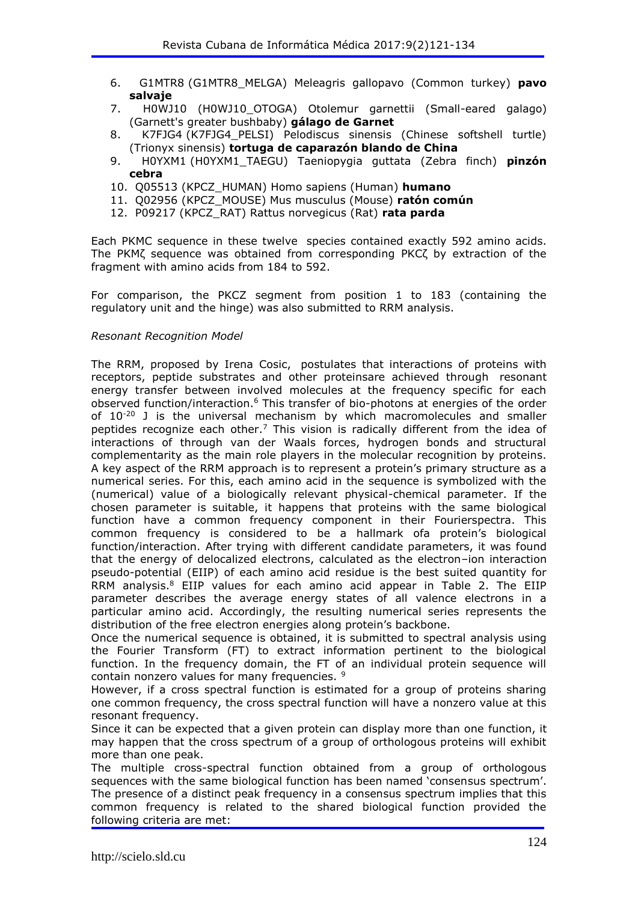- 6. G1MTR8 (G1MTR8\_MELGA) Meleagris gallopavo (Common turkey) **pavo salvaje**
- 7. H0WJ10 (H0WJ10\_OTOGA) Otolemur garnettii (Small-eared galago) (Garnett's greater bushbaby) **gálago de Garnet**
- 8. K7FJG4 (K7FJG4\_PELSI) Pelodiscus sinensis (Chinese softshell turtle) (Trionyx sinensis) **tortuga de caparazón blando de China**
- 9. H0YXM1 (H0YXM1\_TAEGU) Taeniopygia guttata (Zebra finch) **pinzón cebra**
- 10. Q05513 (KPCZ\_HUMAN) Homo sapiens (Human) **humano**
- 11. Q02956 (KPCZ\_MOUSE) Mus musculus (Mouse) **ratón común**
- 12. P09217 (KPCZ\_RAT) Rattus norvegicus (Rat) **rata parda**

Each PKMC sequence in these twelve species contained exactly 592 amino acids. The PKMζ sequence was obtained from corresponding PKCζ by extraction of the fragment with amino acids from 184 to 592.

For comparison, the PKCZ segment from position 1 to 183 (containing the regulatory unit and the hinge) was also submitted to RRM analysis.

#### *Resonant Recognition Model*

The RRM, proposed by Irena Cosic, postulates that interactions of proteins with receptors, peptide substrates and other proteinsare achieved through resonant energy transfer between involved molecules at the frequency specific for each observed function/interaction.<sup>6</sup> This transfer of bio-photons at energies of the order of 10-20 J is the universal mechanism by which macromolecules and smaller peptides recognize each other.<sup>7</sup> This vision is radically different from the idea of interactions of through van der Waals forces, hydrogen bonds and structural complementarity as the main role players in the molecular recognition by proteins. A key aspect of the RRM approach is to represent a protein's primary structure as a numerical series. For this, each amino acid in the sequence is symbolized with the (numerical) value of a biologically relevant physical-chemical parameter. If the chosen parameter is suitable, it happens that proteins with the same biological function have a common frequency component in their Fourierspectra. This common frequency is considered to be a hallmark ofa protein's biological function/interaction. After trying with different candidate parameters, it was found that the energy of delocalized electrons, calculated as the electron–ion interaction pseudo-potential (EIIP) of each amino acid residue is the best suited quantity for RRM analysis.<sup>8</sup> EIIP values for each amino acid appear in Table 2. The EIIP parameter describes the average energy states of all valence electrons in a particular amino acid. Accordingly, the resulting numerical series represents the distribution of the free electron energies along protein's backbone.

Once the numerical sequence is obtained, it is submitted to spectral analysis using the Fourier Transform (FT) to extract information pertinent to the biological function. In the frequency domain, the FT of an individual protein sequence will contain nonzero values for many frequencies. <sup>9</sup>

However, if a cross spectral function is estimated for a group of proteins sharing one common frequency, the cross spectral function will have a nonzero value at this resonant frequency.

Since it can be expected that a given protein can display more than one function, it may happen that the cross spectrum of a group of orthologous proteins will exhibit more than one peak.

The multiple cross-spectral function obtained from a group of orthologous sequences with the same biological function has been named 'consensus spectrum'. The presence of a distinct peak frequency in a consensus spectrum implies that this common frequency is related to the shared biological function provided the following criteria are met: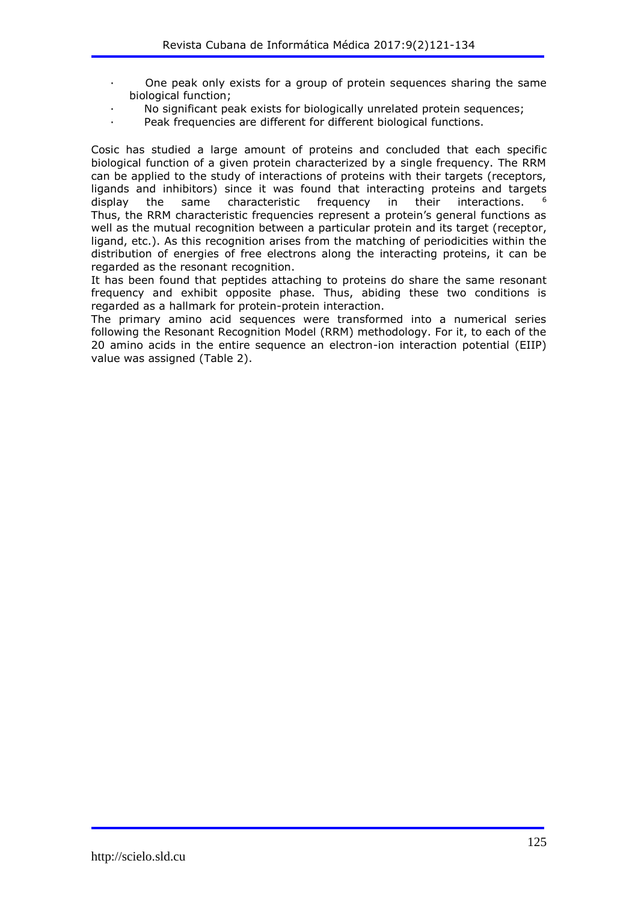- One peak only exists for a group of protein sequences sharing the same biological function;
- No significant peak exists for biologically unrelated protein sequences;
- Peak frequencies are different for different biological functions.

Cosic has studied a large amount of proteins and concluded that each specific biological function of a given protein characterized by a single frequency. The RRM can be applied to the study of interactions of proteins with their targets (receptors, ligands and inhibitors) since it was found that interacting proteins and targets display the same characteristic frequency in their interactions. <sup>6</sup> Thus, the RRM characteristic frequencies represent a protein's general functions as well as the mutual recognition between a particular protein and its target (receptor, ligand, etc.). As this recognition arises from the matching of periodicities within the distribution of energies of free electrons along the interacting proteins, it can be regarded as the resonant recognition.

It has been found that peptides attaching to proteins do share the same resonant frequency and exhibit opposite phase. Thus, abiding these two conditions is regarded as a hallmark for protein-protein interaction.

The primary amino acid sequences were transformed into a numerical series following the Resonant Recognition Model (RRM) methodology. For it, to each of the 20 amino acids in the entire sequence an electron-ion interaction potential (EIIP) value was assigned (Table 2).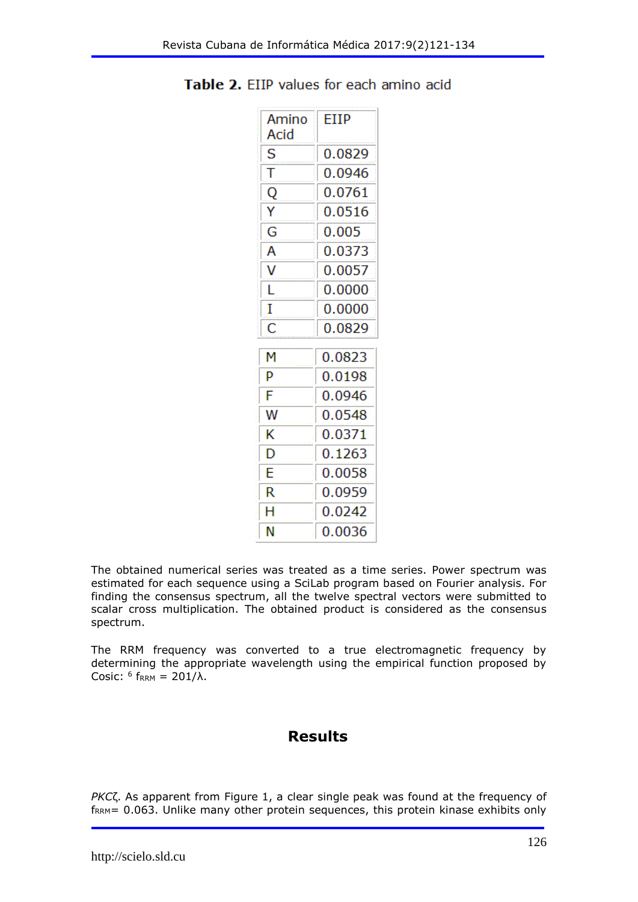| Amino<br>Acid | FIIP   |
|---------------|--------|
| S             | 0.0829 |
| т             | 0.0946 |
| Q             | 0.0761 |
| Υ             | 0.0516 |
| G             | 0.005  |
| А             | 0.0373 |
| ٧             | 0.0057 |
| L             | 0.0000 |
| Ī             | 0.0000 |
| Ċ             | 0.0829 |
| м             | 0.0823 |
| Þ             | 0.0198 |
| F             | 0.0946 |
| w             | 0.0548 |
| K             | 0.0371 |
| D             | 0.1263 |
| F             | 0.0058 |
| R             | 0.0959 |
| Н             | 0.0242 |
| Ν             | 0.0036 |

Table 2. EIIP values for each amino acid

The obtained numerical series was treated as a time series. Power spectrum was estimated for each sequence using a SciLab program based on Fourier analysis. For finding the consensus spectrum, all the twelve spectral vectors were submitted to scalar cross multiplication. The obtained product is considered as the consensus spectrum.

The RRM frequency was converted to a true electromagnetic frequency by determining the appropriate wavelength using the empirical function proposed by Cosic:  $6$  f<sub>RRM</sub> = 201/ $\lambda$ .

## **Results**

*PKC*ζ. As apparent from Figure 1, a clear single peak was found at the frequency of f<sub>RRM</sub>= 0.063. Unlike many other protein sequences, this protein kinase exhibits only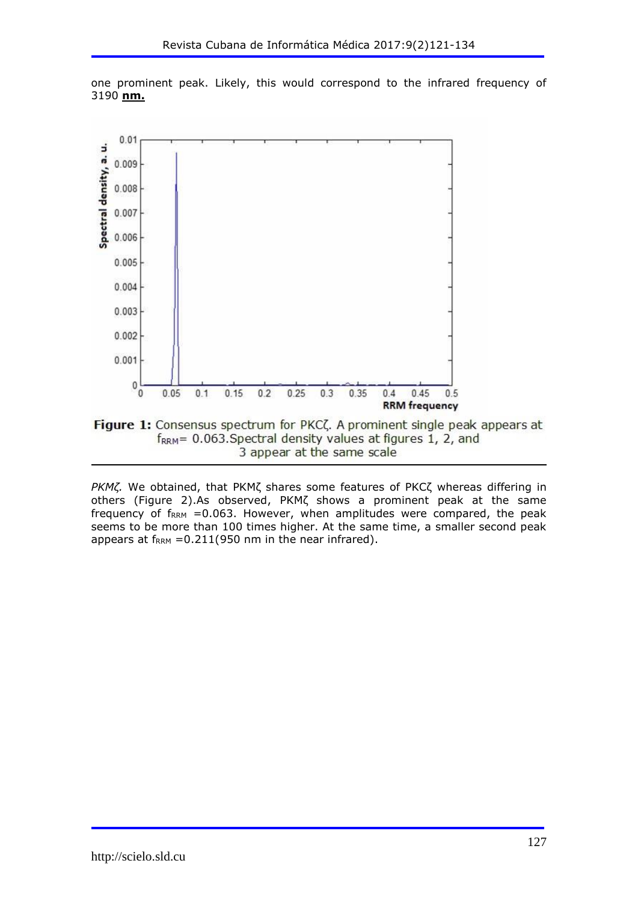

one prominent peak. Likely, this would correspond to the infrared frequency of 3190 **nm.**

3 appear at the same scale

*PKMζ.* We obtained, that PKMζ shares some features of PKCζ whereas differing in others (Figure 2).As observed, PKMζ shows a prominent peak at the same frequency of  $f_{RRM}$  =0.063. However, when amplitudes were compared, the peak seems to be more than 100 times higher. At the same time, a smaller second peak appears at  $f_{RRM} = 0.211(950 \text{ nm in the near infrared}).$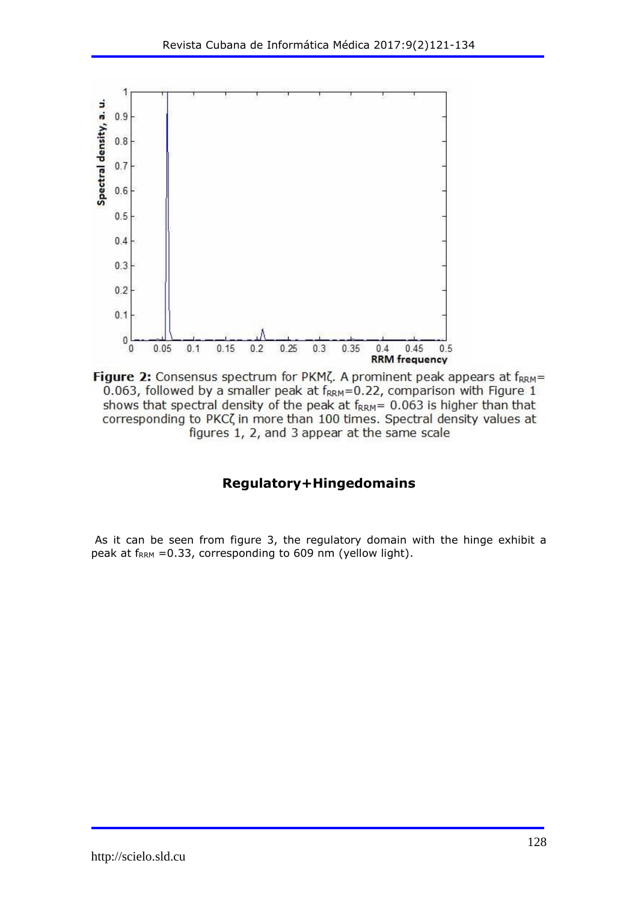

Figure 2: Consensus spectrum for PKM $\zeta$ . A prominent peak appears at  $f_{RRM}$ = 0.063, followed by a smaller peak at f<sub>RRM</sub>=0.22, comparison with Figure 1 shows that spectral density of the peak at  $f_{RRM}$  = 0.063 is higher than that corresponding to PKC( in more than 100 times. Spectral density values at figures 1, 2, and 3 appear at the same scale

### **Regulatory+Hingedomains**

As it can be seen from figure 3, the regulatory domain with the hinge exhibit a peak at  $f_{RRM}$  =0.33, corresponding to 609 nm (yellow light).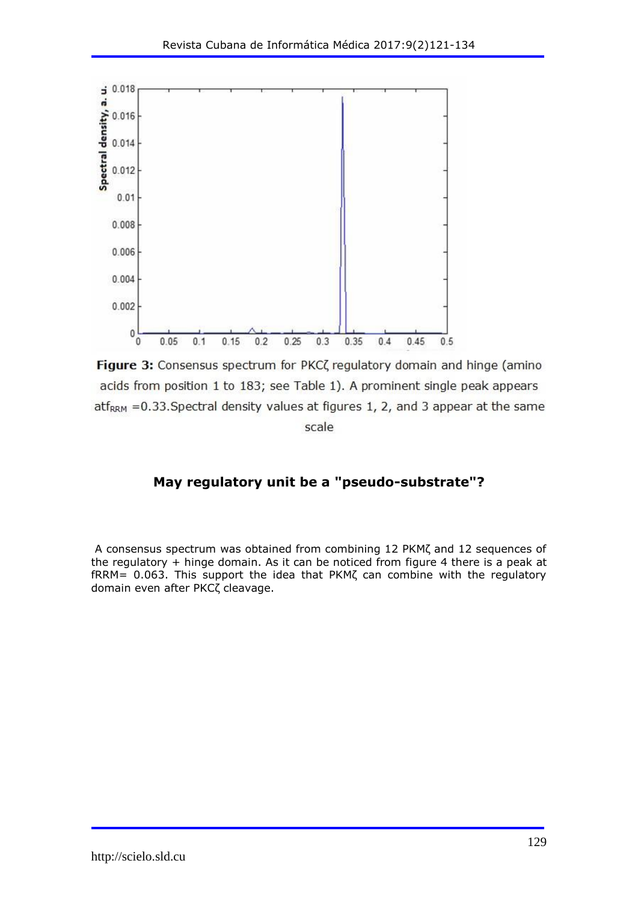

Figure 3: Consensus spectrum for PKC( regulatory domain and hinge (amino acids from position 1 to 183; see Table 1). A prominent single peak appears atf<sub>RRM</sub> = 0.33. Spectral density values at figures 1, 2, and 3 appear at the same scale

## **May regulatory unit be a "pseudo-substrate"?**

A consensus spectrum was obtained from combining 12 PKMζ and 12 sequences of the regulatory + hinge domain. As it can be noticed from figure 4 there is a peak at fRRM= 0.063. This support the idea that PKMζ can combine with the regulatory domain even after PKCζ cleavage.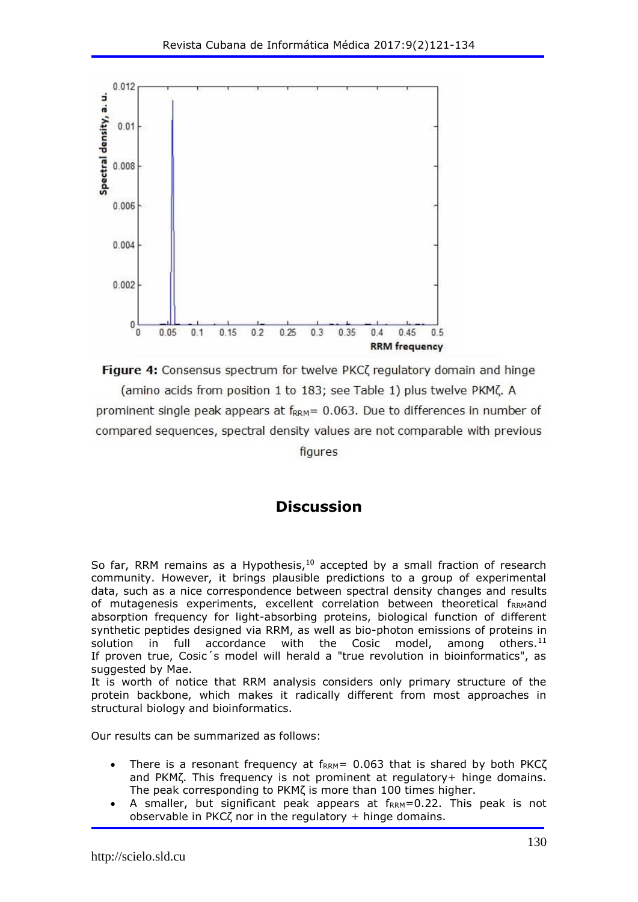

Figure 4: Consensus spectrum for twelve PKCZ regulatory domain and hinge

(amino acids from position 1 to 183; see Table 1) plus twelve PKM(. A prominent single peak appears at  $f_{RRM}$  = 0.063. Due to differences in number of compared sequences, spectral density values are not comparable with previous

figures

## **Discussion**

So far, RRM remains as a Hypothesis, $10$  accepted by a small fraction of research community. However, it brings plausible predictions to a group of experimental data, such as a nice correspondence between spectral density changes and results of mutagenesis experiments, excellent correlation between theoretical f<sub>RRM</sub>and absorption frequency for light-absorbing proteins, biological function of different synthetic peptides designed via RRM, as well as bio-photon emissions of proteins in solution in full accordance with the Cosic model, among others. $11$ If proven true, Cosic´s model will herald a "true revolution in bioinformatics", as suggested by Mae.

It is worth of notice that RRM analysis considers only primary structure of the protein backbone, which makes it radically different from most approaches in structural biology and bioinformatics.

Our results can be summarized as follows:

- There is a resonant frequency at  $f_{RRM} = 0.063$  that is shared by both PKC $\zeta$ and PKMζ. This frequency is not prominent at regulatory+ hinge domains. The peak corresponding to PKMζ is more than 100 times higher.
- A smaller, but significant peak appears at  $f_{RRM}=0.22$ . This peak is not observable in PKC $\zeta$  nor in the regulatory + hinge domains.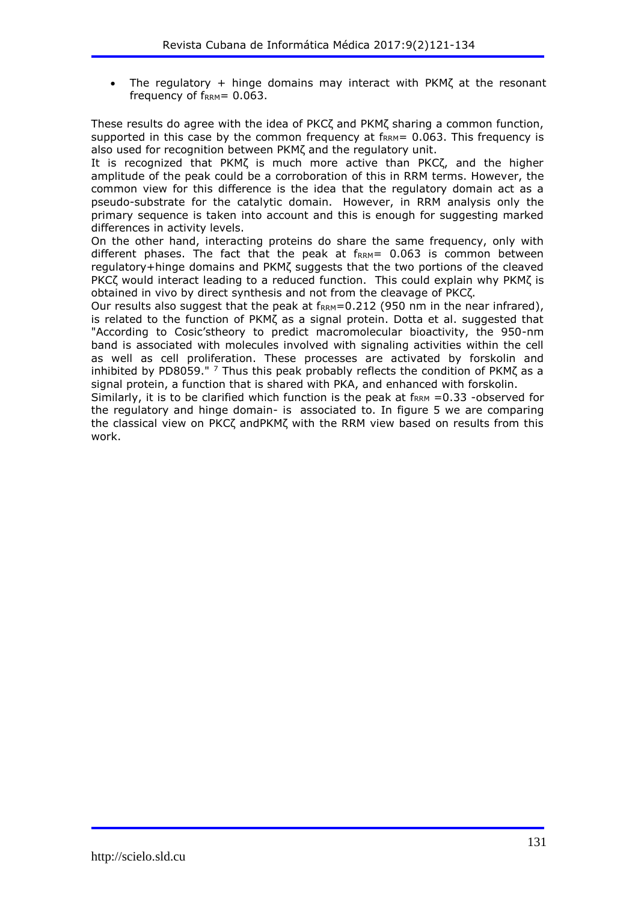The regulatory + hinge domains may interact with PKMζ at the resonant frequency of  $f_{RRM} = 0.063$ .

These results do agree with the idea of PKCζ and PKMζ sharing a common function, supported in this case by the common frequency at  $f_{\text{RRM}}$  = 0.063. This frequency is also used for recognition between PKMζ and the regulatory unit.

It is recognized that PKMζ is much more active than PKCζ, and the higher amplitude of the peak could be a corroboration of this in RRM terms. However, the common view for this difference is the idea that the regulatory domain act as a pseudo-substrate for the catalytic domain. However, in RRM analysis only the primary sequence is taken into account and this is enough for suggesting marked differences in activity levels.

On the other hand, interacting proteins do share the same frequency, only with different phases. The fact that the peak at  $f_{\rm{RRM}}$ = 0.063 is common between regulatory+hinge domains and PKMζ suggests that the two portions of the cleaved PKCζ would interact leading to a reduced function. This could explain why PKMζ is obtained in vivo by direct synthesis and not from the cleavage of PKCζ.

Our results also suggest that the peak at  $f_{\rm{RRM}}$ =0.212 (950 nm in the near infrared), is related to the function of PKMζ as a signal protein. Dotta et al. suggested that "According to Cosic'stheory to predict macromolecular bioactivity, the 950-nm band is associated with molecules involved with signaling activities within the cell as well as cell proliferation. These processes are activated by forskolin and inhibited by PD8059."  $^7$  Thus this peak probably reflects the condition of PKM $\zeta$  as a signal protein, a function that is shared with PKA, and enhanced with forskolin.

Similarly, it is to be clarified which function is the peak at  $f_{RRM} = 0.33$  -observed for the regulatory and hinge domain- is associated to. In figure 5 we are comparing the classical view on PKCζ andPKMζ with the RRM view based on results from this work.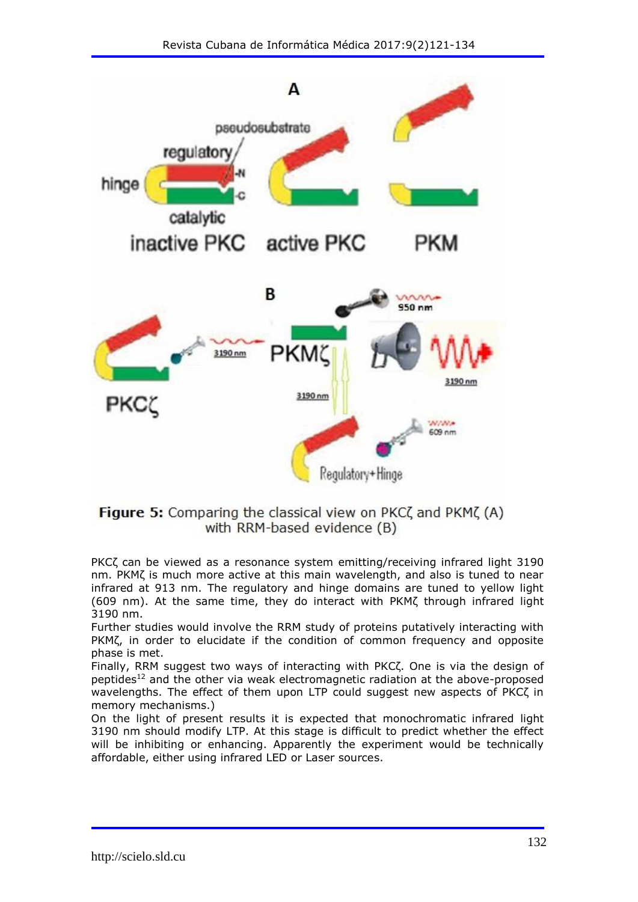

### Figure 5: Comparing the classical view on PKC( and PKM( (A) with RRM-based evidence (B)

PKCζ can be viewed as a resonance system emitting/receiving infrared light 3190 nm. PKMζ is much more active at this main wavelength, and also is tuned to near infrared at 913 nm. The regulatory and hinge domains are tuned to yellow light (609 nm). At the same time, they do interact with PKMζ through infrared light 3190 nm.

Further studies would involve the RRM study of proteins putatively interacting with PKMζ, in order to elucidate if the condition of common frequency and opposite phase is met.

Finally, RRM suggest two ways of interacting with PKCζ. One is via the design of peptides<sup>12</sup> and the other via weak electromagnetic radiation at the above-proposed wavelengths. The effect of them upon LTP could suggest new aspects of PKCζ in memory mechanisms.)

On the light of present results it is expected that monochromatic infrared light 3190 nm should modify LTP. At this stage is difficult to predict whether the effect will be inhibiting or enhancing. Apparently the experiment would be technically affordable, either using infrared LED or Laser sources.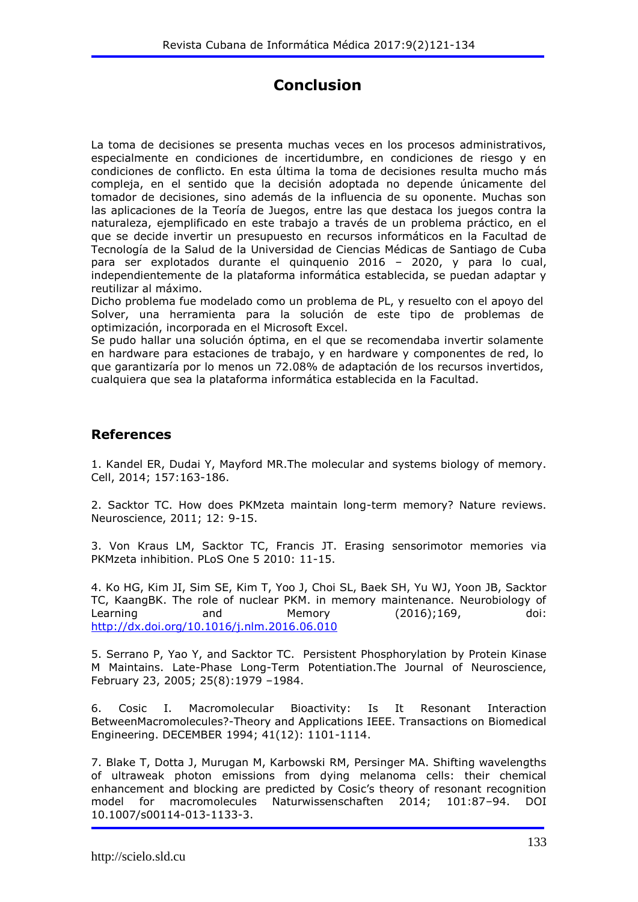# **Conclusion**

La toma de decisiones se presenta muchas veces en los procesos administrativos, especialmente en condiciones de incertidumbre, en condiciones de riesgo y en condiciones de conflicto. En esta última la toma de decisiones resulta mucho más compleja, en el sentido que la decisión adoptada no depende únicamente del tomador de decisiones, sino además de la influencia de su oponente. Muchas son las aplicaciones de la Teoría de Juegos, entre las que destaca los juegos contra la naturaleza, ejemplificado en este trabajo a través de un problema práctico, en el que se decide invertir un presupuesto en recursos informáticos en la Facultad de Tecnología de la Salud de la Universidad de Ciencias Médicas de Santiago de Cuba para ser explotados durante el quinquenio 2016 – 2020, y para lo cual, independientemente de la plataforma informática establecida, se puedan adaptar y reutilizar al máximo.

Dicho problema fue modelado como un problema de PL, y resuelto con el apoyo del Solver, una herramienta para la solución de este tipo de problemas de optimización, incorporada en el Microsoft Excel.

Se pudo hallar una solución óptima, en el que se recomendaba invertir solamente en hardware para estaciones de trabajo, y en hardware y componentes de red, lo que garantizaría por lo menos un 72.08% de adaptación de los recursos invertidos, cualquiera que sea la plataforma informática establecida en la Facultad.

### **References**

1. Kandel ER, Dudai Y, Mayford MR.The molecular and systems biology of memory. Cell, 2014; 157:163-186.

2. Sacktor TC. How does PKMzeta maintain long-term memory? Nature reviews. Neuroscience, 2011; 12: 9-15.

3. Von Kraus LM, Sacktor TC, Francis JT. Erasing sensorimotor memories via PKMzeta inhibition. PLoS One 5 2010: 11-15.

4. Ko HG, Kim JI, Sim SE, Kim T, Yoo J, Choi SL, Baek SH, Yu WJ, Yoon JB, Sacktor TC, KaangBK. The role of nuclear PKM. in memory maintenance. Neurobiology of Learning and Memory (2016);169, doi: <http://dx.doi.org/10.1016/j.nlm.2016.06.010>

5. Serrano P, Yao Y, and Sacktor TC. Persistent Phosphorylation by Protein Kinase M Maintains. Late-Phase Long-Term Potentiation.The Journal of Neuroscience, February 23, 2005; 25(8):1979 –1984.

6. Cosic I. Macromolecular Bioactivity: Is It Resonant Interaction BetweenMacromolecules?-Theory and Applications IEEE. Transactions on Biomedical Engineering. DECEMBER 1994; 41(12): 1101-1114.

7. Blake T, Dotta J, Murugan M, Karbowski RM, Persinger MA. Shifting wavelengths of ultraweak photon emissions from dying melanoma cells: their chemical enhancement and blocking are predicted by Cosic's theory of resonant recognition model for macromolecules Naturwissenschaften 2014; 101:87–94. DOI 10.1007/s00114-013-1133-3.